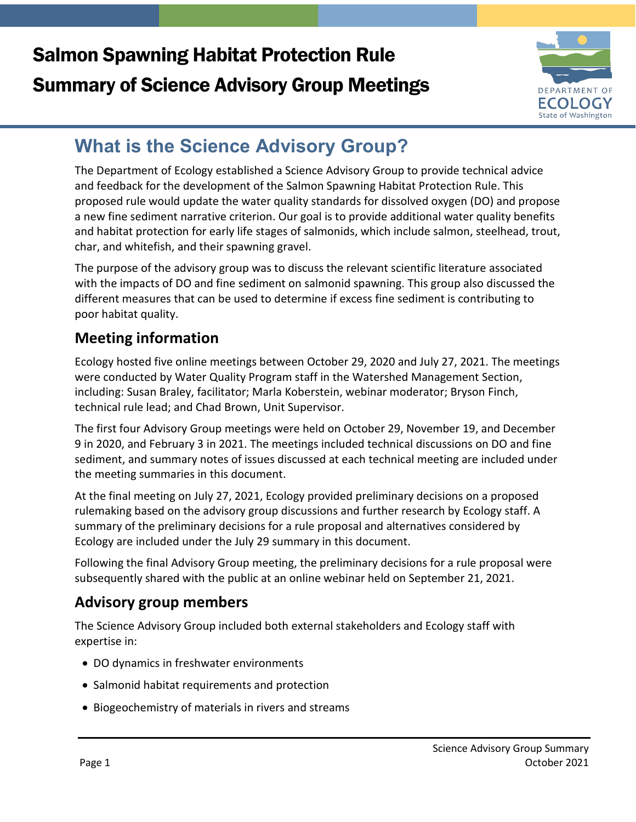# Salmon Spawning Habitat Protection Rule Summary of Science Advisory Group Meetings



# **What is the Science Advisory Group?**

The Department of Ecology established a Science Advisory Group to provide technical advice and feedback for the development of the Salmon Spawning Habitat Protection Rule. This proposed rule would update the water quality standards for dissolved oxygen (DO) and propose a new fine sediment narrative criterion. Our goal is to provide additional water quality benefits and habitat protection for early life stages of salmonids, which include salmon, steelhead, trout, char, and whitefish, and their spawning gravel.

The purpose of the advisory group was to discuss the relevant scientific literature associated with the impacts of DO and fine sediment on salmonid spawning. This group also discussed the different measures that can be used to determine if excess fine sediment is contributing to poor habitat quality.

# **Meeting information**

Ecology hosted five online meetings between October 29, 2020 and July 27, 2021. The meetings were conducted by Water Quality Program staff in the Watershed Management Section, including: Susan Braley, facilitator; Marla Koberstein, webinar moderator; Bryson Finch, technical rule lead; and Chad Brown, Unit Supervisor.

The first four Advisory Group meetings were held on October 29, November 19, and December 9 in 2020, and February 3 in 2021. The meetings included technical discussions on DO and fine sediment, and summary notes of issues discussed at each technical meeting are included under the meeting summaries in this document.

At the final meeting on July 27, 2021, Ecology provided preliminary decisions on a proposed rulemaking based on the advisory group discussions and further research by Ecology staff. A summary of the preliminary decisions for a rule proposal and alternatives considered by Ecology are included under the July 29 summary in this document.

Following the final Advisory Group meeting, the preliminary decisions for a rule proposal were subsequently shared with the public at an online webinar held on September 21, 2021.

# **Advisory group members**

The Science Advisory Group included both external stakeholders and Ecology staff with expertise in:

- DO dynamics in freshwater environments
- Salmonid habitat requirements and protection
- Biogeochemistry of materials in rivers and streams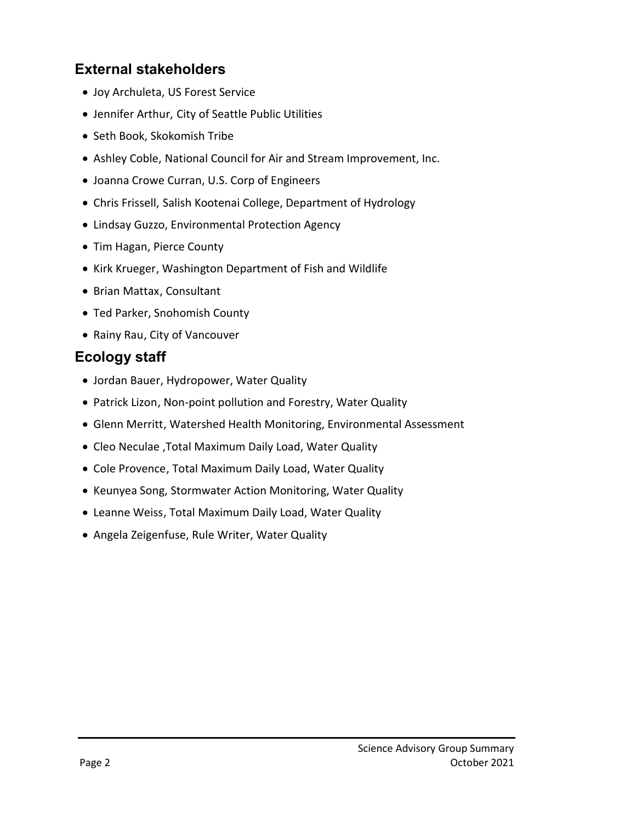### **External stakeholders**

- Joy Archuleta, US Forest Service
- Jennifer Arthur, City of Seattle Public Utilities
- Seth Book, Skokomish Tribe
- Ashley Coble, National Council for Air and Stream Improvement, Inc.
- Joanna Crowe Curran, U.S. Corp of Engineers
- Chris Frissell, Salish Kootenai College, Department of Hydrology
- Lindsay Guzzo, Environmental Protection Agency
- Tim Hagan, Pierce County
- Kirk Krueger, Washington Department of Fish and Wildlife
- Brian Mattax, Consultant
- Ted Parker, Snohomish County
- Rainy Rau, City of Vancouver

### **Ecology staff**

- Jordan Bauer, Hydropower, Water Quality
- Patrick Lizon, Non-point pollution and Forestry, Water Quality
- Glenn Merritt, Watershed Health Monitoring, Environmental Assessment
- Cleo Neculae ,Total Maximum Daily Load, Water Quality
- Cole Provence, Total Maximum Daily Load, Water Quality
- Keunyea Song, Stormwater Action Monitoring, Water Quality
- Leanne Weiss, Total Maximum Daily Load, Water Quality
- Angela Zeigenfuse, Rule Writer, Water Quality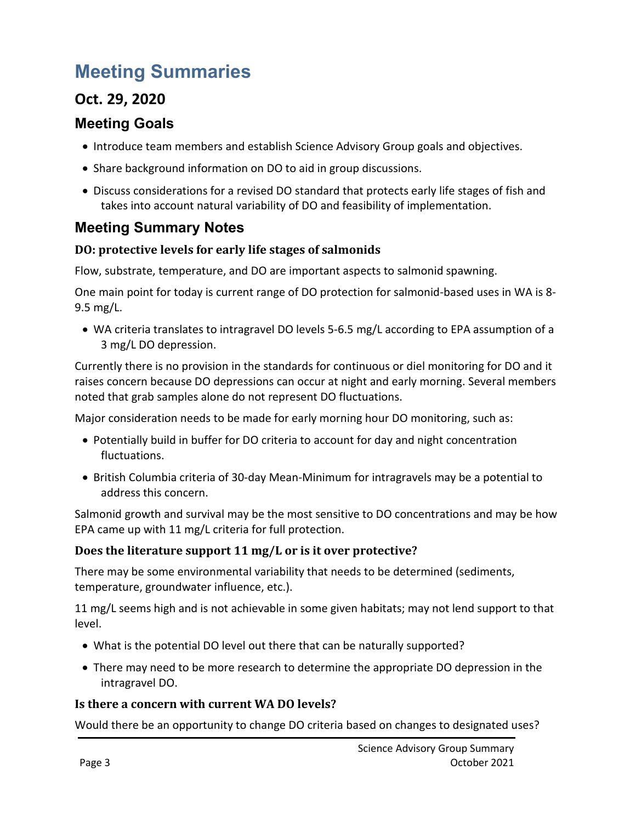# **Meeting Summaries**

## **Oct. 29, 2020**

### **Meeting Goals**

- Introduce team members and establish Science Advisory Group goals and objectives.
- Share background information on DO to aid in group discussions.
- Discuss considerations for a revised DO standard that protects early life stages of fish and takes into account natural variability of DO and feasibility of implementation.

## **Meeting Summary Notes**

### **DO: protective levels for early life stages of salmonids**

Flow, substrate, temperature, and DO are important aspects to salmonid spawning.

One main point for today is current range of DO protection for salmonid-based uses in WA is 8- 9.5 mg/L.

• WA criteria translates to intragravel DO levels 5-6.5 mg/L according to EPA assumption of a 3 mg/L DO depression.

Currently there is no provision in the standards for continuous or diel monitoring for DO and it raises concern because DO depressions can occur at night and early morning. Several members noted that grab samples alone do not represent DO fluctuations.

Major consideration needs to be made for early morning hour DO monitoring, such as:

- Potentially build in buffer for DO criteria to account for day and night concentration fluctuations.
- British Columbia criteria of 30-day Mean-Minimum for intragravels may be a potential to address this concern.

Salmonid growth and survival may be the most sensitive to DO concentrations and may be how EPA came up with 11 mg/L criteria for full protection.

### **Does the literature support 11 mg/L or is it over protective?**

There may be some environmental variability that needs to be determined (sediments, temperature, groundwater influence, etc.).

11 mg/L seems high and is not achievable in some given habitats; may not lend support to that level.

- What is the potential DO level out there that can be naturally supported?
- There may need to be more research to determine the appropriate DO depression in the intragravel DO.

### **Is there a concern with current WA DO levels?**

Would there be an opportunity to change DO criteria based on changes to designated uses?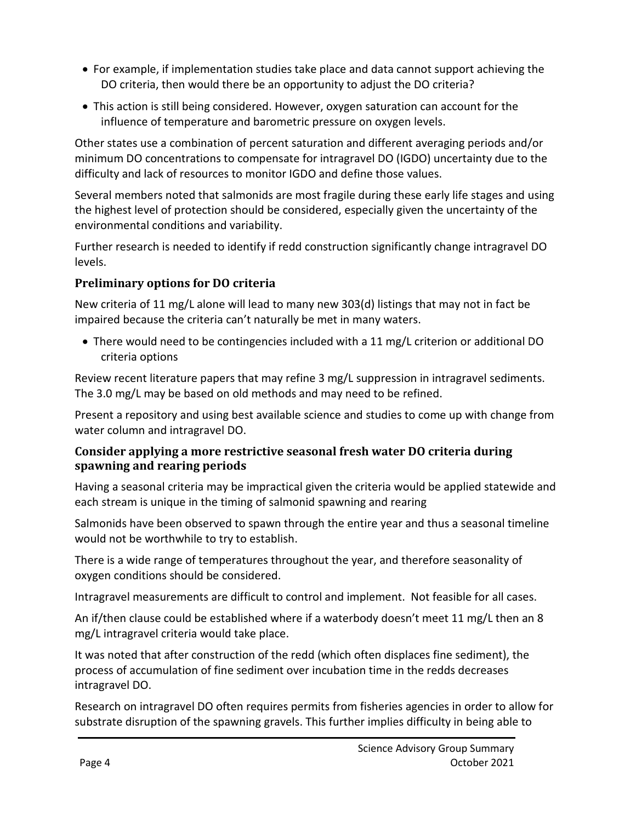- For example, if implementation studies take place and data cannot support achieving the DO criteria, then would there be an opportunity to adjust the DO criteria?
- This action is still being considered. However, oxygen saturation can account for the influence of temperature and barometric pressure on oxygen levels.

Other states use a combination of percent saturation and different averaging periods and/or minimum DO concentrations to compensate for intragravel DO (IGDO) uncertainty due to the difficulty and lack of resources to monitor IGDO and define those values.

Several members noted that salmonids are most fragile during these early life stages and using the highest level of protection should be considered, especially given the uncertainty of the environmental conditions and variability.

Further research is needed to identify if redd construction significantly change intragravel DO levels.

### **Preliminary options for DO criteria**

New criteria of 11 mg/L alone will lead to many new 303(d) listings that may not in fact be impaired because the criteria can't naturally be met in many waters.

• There would need to be contingencies included with a 11 mg/L criterion or additional DO criteria options

Review recent literature papers that may refine 3 mg/L suppression in intragravel sediments. The 3.0 mg/L may be based on old methods and may need to be refined.

Present a repository and using best available science and studies to come up with change from water column and intragravel DO.

### **Consider applying a more restrictive seasonal fresh water DO criteria during spawning and rearing periods**

Having a seasonal criteria may be impractical given the criteria would be applied statewide and each stream is unique in the timing of salmonid spawning and rearing

Salmonids have been observed to spawn through the entire year and thus a seasonal timeline would not be worthwhile to try to establish.

There is a wide range of temperatures throughout the year, and therefore seasonality of oxygen conditions should be considered.

Intragravel measurements are difficult to control and implement. Not feasible for all cases.

An if/then clause could be established where if a waterbody doesn't meet 11 mg/L then an 8 mg/L intragravel criteria would take place.

It was noted that after construction of the redd (which often displaces fine sediment), the process of accumulation of fine sediment over incubation time in the redds decreases intragravel DO.

Research on intragravel DO often requires permits from fisheries agencies in order to allow for substrate disruption of the spawning gravels. This further implies difficulty in being able to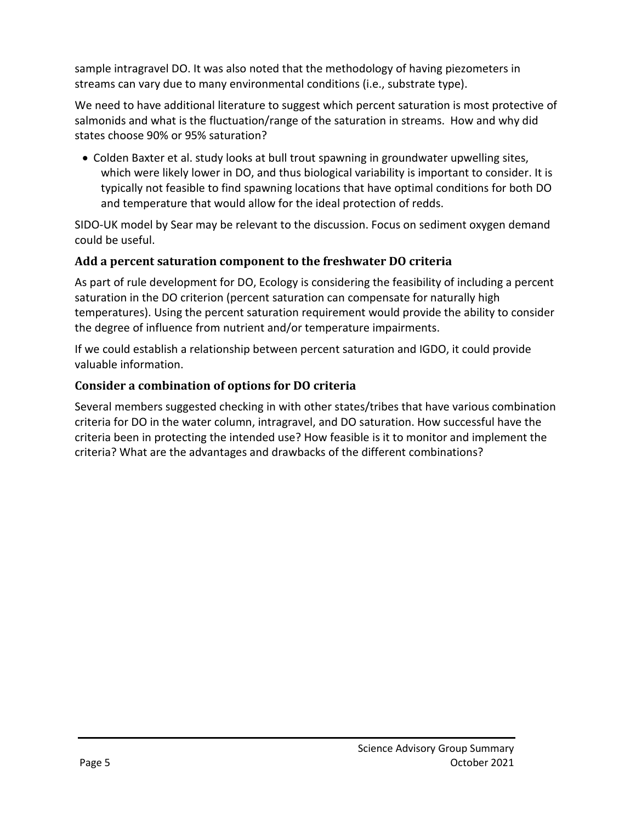sample intragravel DO. It was also noted that the methodology of having piezometers in streams can vary due to many environmental conditions (i.e., substrate type).

We need to have additional literature to suggest which percent saturation is most protective of salmonids and what is the fluctuation/range of the saturation in streams. How and why did states choose 90% or 95% saturation?

• Colden Baxter et al. study looks at bull trout spawning in groundwater upwelling sites, which were likely lower in DO, and thus biological variability is important to consider. It is typically not feasible to find spawning locations that have optimal conditions for both DO and temperature that would allow for the ideal protection of redds.

SIDO-UK model by Sear may be relevant to the discussion. Focus on sediment oxygen demand could be useful.

### **Add a percent saturation component to the freshwater DO criteria**

As part of rule development for DO, Ecology is considering the feasibility of including a percent saturation in the DO criterion (percent saturation can compensate for naturally high temperatures). Using the percent saturation requirement would provide the ability to consider the degree of influence from nutrient and/or temperature impairments.

If we could establish a relationship between percent saturation and IGDO, it could provide valuable information.

### **Consider a combination of options for DO criteria**

Several members suggested checking in with other states/tribes that have various combination criteria for DO in the water column, intragravel, and DO saturation. How successful have the criteria been in protecting the intended use? How feasible is it to monitor and implement the criteria? What are the advantages and drawbacks of the different combinations?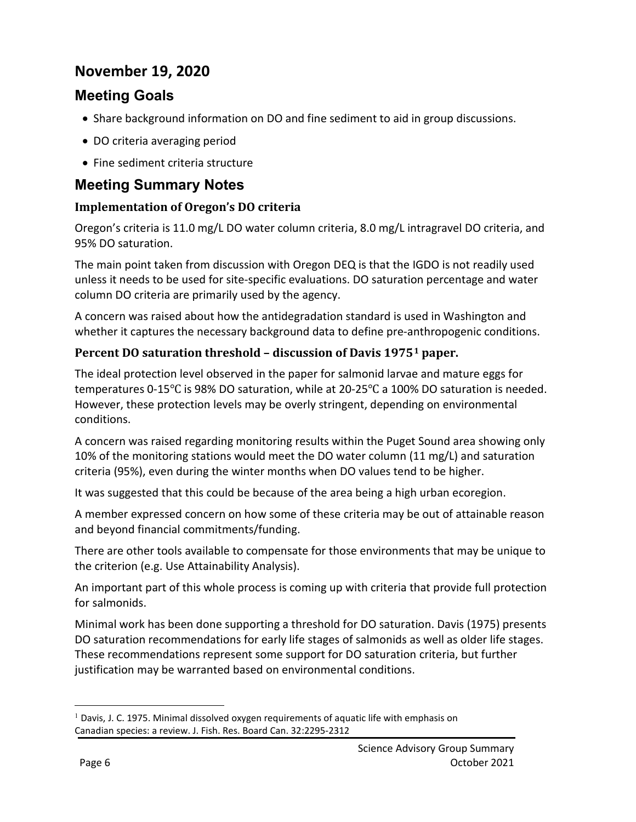## **November 19, 2020**

### **Meeting Goals**

- Share background information on DO and fine sediment to aid in group discussions.
- DO criteria averaging period
- Fine sediment criteria structure

### **Meeting Summary Notes**

### **Implementation of Oregon's DO criteria**

Oregon's criteria is 11.0 mg/L DO water column criteria, 8.0 mg/L intragravel DO criteria, and 95% DO saturation.

The main point taken from discussion with Oregon DEQ is that the IGDO is not readily used unless it needs to be used for site-specific evaluations. DO saturation percentage and water column DO criteria are primarily used by the agency.

A concern was raised about how the antidegradation standard is used in Washington and whether it captures the necessary background data to define pre-anthropogenic conditions.

### **Percent DO saturation threshold – discussion of Davis 1975[1](#page-5-0) paper.**

The ideal protection level observed in the paper for salmonid larvae and mature eggs for temperatures 0-15℃ is 98% DO saturation, while at 20-25℃ a 100% DO saturation is needed. However, these protection levels may be overly stringent, depending on environmental conditions.

A concern was raised regarding monitoring results within the Puget Sound area showing only 10% of the monitoring stations would meet the DO water column (11 mg/L) and saturation criteria (95%), even during the winter months when DO values tend to be higher.

It was suggested that this could be because of the area being a high urban ecoregion.

A member expressed concern on how some of these criteria may be out of attainable reason and beyond financial commitments/funding.

There are other tools available to compensate for those environments that may be unique to the criterion (e.g. Use Attainability Analysis).

An important part of this whole process is coming up with criteria that provide full protection for salmonids.

Minimal work has been done supporting a threshold for DO saturation. Davis (1975) presents DO saturation recommendations for early life stages of salmonids as well as older life stages. These recommendations represent some support for DO saturation criteria, but further justification may be warranted based on environmental conditions.

 $\overline{a}$ 

<span id="page-5-0"></span> $<sup>1</sup>$  Davis, J. C. 1975. Minimal dissolved oxygen requirements of aquatic life with emphasis on</sup> Canadian species: a review. J. Fish. Res. Board Can. 32:2295-2312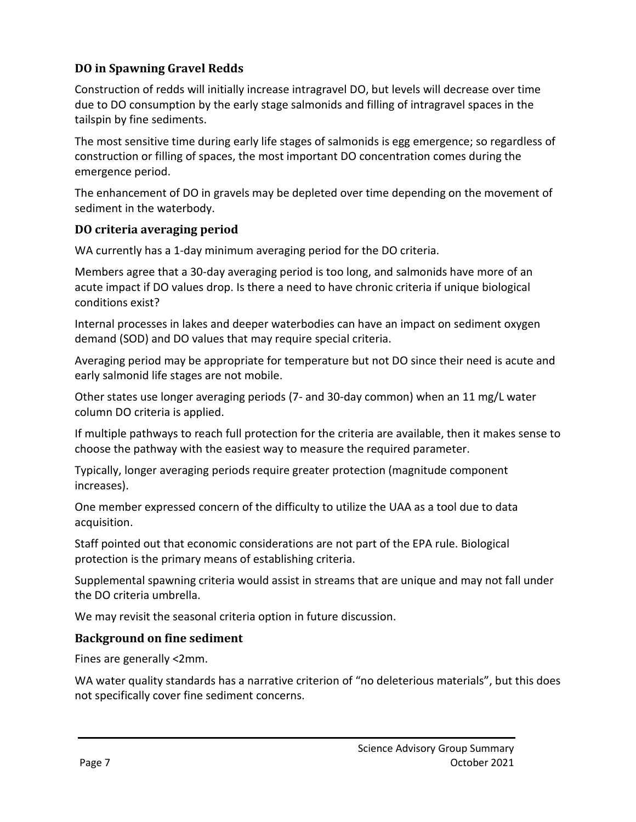### **DO in Spawning Gravel Redds**

Construction of redds will initially increase intragravel DO, but levels will decrease over time due to DO consumption by the early stage salmonids and filling of intragravel spaces in the tailspin by fine sediments.

The most sensitive time during early life stages of salmonids is egg emergence; so regardless of construction or filling of spaces, the most important DO concentration comes during the emergence period.

The enhancement of DO in gravels may be depleted over time depending on the movement of sediment in the waterbody.

### **DO criteria averaging period**

WA currently has a 1-day minimum averaging period for the DO criteria.

Members agree that a 30-day averaging period is too long, and salmonids have more of an acute impact if DO values drop. Is there a need to have chronic criteria if unique biological conditions exist?

Internal processes in lakes and deeper waterbodies can have an impact on sediment oxygen demand (SOD) and DO values that may require special criteria.

Averaging period may be appropriate for temperature but not DO since their need is acute and early salmonid life stages are not mobile.

Other states use longer averaging periods (7- and 30-day common) when an 11 mg/L water column DO criteria is applied.

If multiple pathways to reach full protection for the criteria are available, then it makes sense to choose the pathway with the easiest way to measure the required parameter.

Typically, longer averaging periods require greater protection (magnitude component increases).

One member expressed concern of the difficulty to utilize the UAA as a tool due to data acquisition.

Staff pointed out that economic considerations are not part of the EPA rule. Biological protection is the primary means of establishing criteria.

Supplemental spawning criteria would assist in streams that are unique and may not fall under the DO criteria umbrella.

We may revisit the seasonal criteria option in future discussion.

#### **Background on fine sediment**

Fines are generally <2mm.

WA water quality standards has a narrative criterion of "no deleterious materials", but this does not specifically cover fine sediment concerns.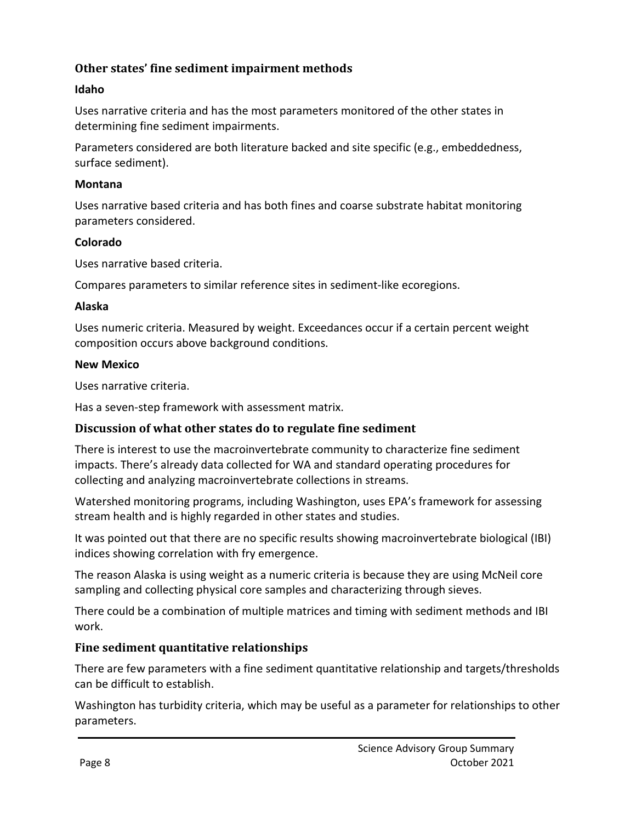### **Other states' fine sediment impairment methods**

#### **Idaho**

Uses narrative criteria and has the most parameters monitored of the other states in determining fine sediment impairments.

Parameters considered are both literature backed and site specific (e.g., embeddedness, surface sediment).

#### **Montana**

Uses narrative based criteria and has both fines and coarse substrate habitat monitoring parameters considered.

#### **Colorado**

Uses narrative based criteria.

Compares parameters to similar reference sites in sediment-like ecoregions.

#### **Alaska**

Uses numeric criteria. Measured by weight. Exceedances occur if a certain percent weight composition occurs above background conditions.

#### **New Mexico**

Uses narrative criteria.

Has a seven-step framework with assessment matrix.

#### **Discussion of what other states do to regulate fine sediment**

There is interest to use the macroinvertebrate community to characterize fine sediment impacts. There's already data collected for WA and standard operating procedures for collecting and analyzing macroinvertebrate collections in streams.

Watershed monitoring programs, including Washington, uses EPA's framework for assessing stream health and is highly regarded in other states and studies.

It was pointed out that there are no specific results showing macroinvertebrate biological (IBI) indices showing correlation with fry emergence.

The reason Alaska is using weight as a numeric criteria is because they are using McNeil core sampling and collecting physical core samples and characterizing through sieves.

There could be a combination of multiple matrices and timing with sediment methods and IBI work.

#### **Fine sediment quantitative relationships**

There are few parameters with a fine sediment quantitative relationship and targets/thresholds can be difficult to establish.

Washington has turbidity criteria, which may be useful as a parameter for relationships to other parameters.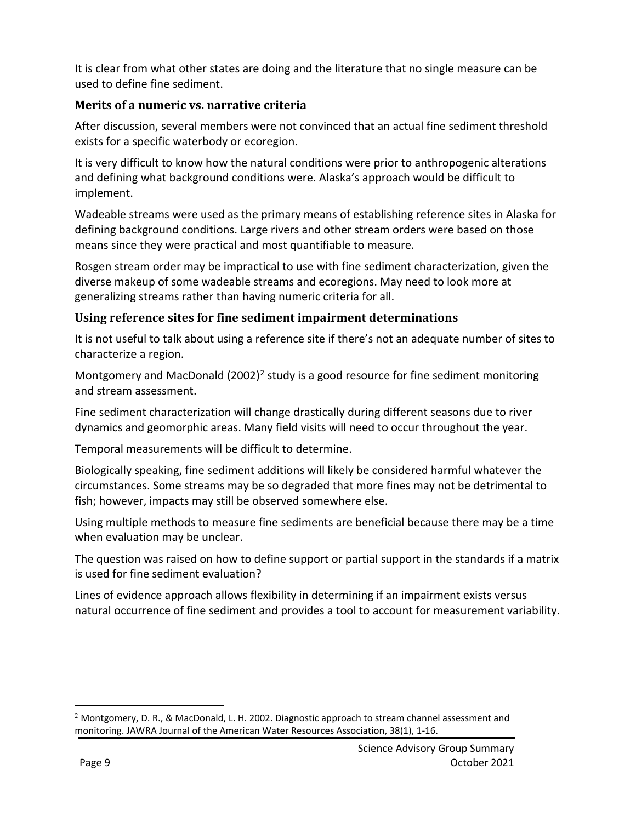It is clear from what other states are doing and the literature that no single measure can be used to define fine sediment.

### **Merits of a numeric vs. narrative criteria**

After discussion, several members were not convinced that an actual fine sediment threshold exists for a specific waterbody or ecoregion.

It is very difficult to know how the natural conditions were prior to anthropogenic alterations and defining what background conditions were. Alaska's approach would be difficult to implement.

Wadeable streams were used as the primary means of establishing reference sites in Alaska for defining background conditions. Large rivers and other stream orders were based on those means since they were practical and most quantifiable to measure.

Rosgen stream order may be impractical to use with fine sediment characterization, given the diverse makeup of some wadeable streams and ecoregions. May need to look more at generalizing streams rather than having numeric criteria for all.

### **Using reference sites for fine sediment impairment determinations**

It is not useful to talk about using a reference site if there's not an adequate number of sites to characterize a region.

Montgomery and MacDonald  $(2002)^2$  $(2002)^2$  $(2002)^2$  study is a good resource for fine sediment monitoring and stream assessment.

Fine sediment characterization will change drastically during different seasons due to river dynamics and geomorphic areas. Many field visits will need to occur throughout the year.

Temporal measurements will be difficult to determine.

Biologically speaking, fine sediment additions will likely be considered harmful whatever the circumstances. Some streams may be so degraded that more fines may not be detrimental to fish; however, impacts may still be observed somewhere else.

Using multiple methods to measure fine sediments are beneficial because there may be a time when evaluation may be unclear.

The question was raised on how to define support or partial support in the standards if a matrix is used for fine sediment evaluation?

Lines of evidence approach allows flexibility in determining if an impairment exists versus natural occurrence of fine sediment and provides a tool to account for measurement variability.

 $\overline{a}$ 

<span id="page-8-0"></span> $2$  Montgomery, D. R., & MacDonald, L. H. 2002. Diagnostic approach to stream channel assessment and monitoring. JAWRA Journal of the American Water Resources Association, 38(1), 1-16.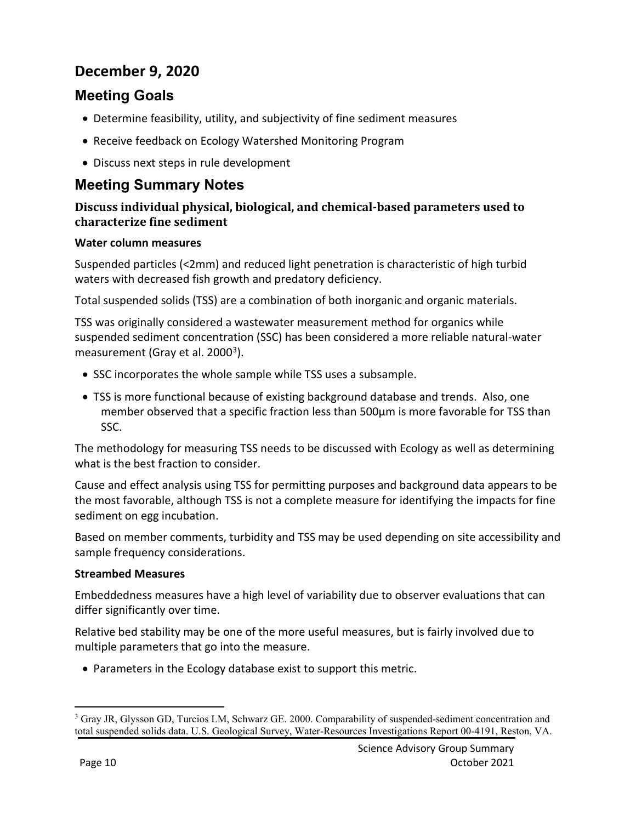## **December 9, 2020**

### **Meeting Goals**

- Determine feasibility, utility, and subjectivity of fine sediment measures
- Receive feedback on Ecology Watershed Monitoring Program
- Discuss next steps in rule development

### **Meeting Summary Notes**

### **Discuss individual physical, biological, and chemical-based parameters used to characterize fine sediment**

#### **Water column measures**

Suspended particles (<2mm) and reduced light penetration is characteristic of high turbid waters with decreased fish growth and predatory deficiency.

Total suspended solids (TSS) are a combination of both inorganic and organic materials.

TSS was originally considered a wastewater measurement method for organics while suspended sediment concentration (SSC) has been considered a more reliable natural-water measurement (Gray et al. 2000<sup>[3](#page-9-0)</sup>).

- SSC incorporates the whole sample while TSS uses a subsample.
- TSS is more functional because of existing background database and trends. Also, one member observed that a specific fraction less than 500µm is more favorable for TSS than SSC.

The methodology for measuring TSS needs to be discussed with Ecology as well as determining what is the best fraction to consider.

Cause and effect analysis using TSS for permitting purposes and background data appears to be the most favorable, although TSS is not a complete measure for identifying the impacts for fine sediment on egg incubation.

Based on member comments, turbidity and TSS may be used depending on site accessibility and sample frequency considerations.

#### **Streambed Measures**

Embeddedness measures have a high level of variability due to observer evaluations that can differ significantly over time.

Relative bed stability may be one of the more useful measures, but is fairly involved due to multiple parameters that go into the measure.

• Parameters in the Ecology database exist to support this metric.

<span id="page-9-0"></span> $\overline{a}$ <sup>3</sup> Gray JR, Glysson GD, Turcios LM, Schwarz GE. 2000. Comparability of suspended-sediment concentration and total suspended solids data. U.S. Geological Survey, Water-Resources Investigations Report 00-4191, Reston, VA.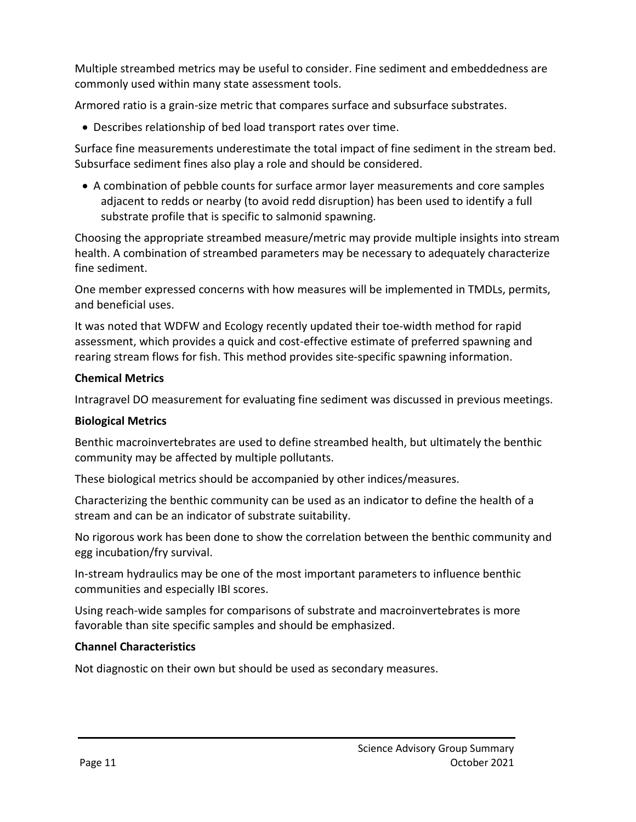Multiple streambed metrics may be useful to consider. Fine sediment and embeddedness are commonly used within many state assessment tools.

Armored ratio is a grain-size metric that compares surface and subsurface substrates.

• Describes relationship of bed load transport rates over time.

Surface fine measurements underestimate the total impact of fine sediment in the stream bed. Subsurface sediment fines also play a role and should be considered.

• A combination of pebble counts for surface armor layer measurements and core samples adjacent to redds or nearby (to avoid redd disruption) has been used to identify a full substrate profile that is specific to salmonid spawning.

Choosing the appropriate streambed measure/metric may provide multiple insights into stream health. A combination of streambed parameters may be necessary to adequately characterize fine sediment.

One member expressed concerns with how measures will be implemented in TMDLs, permits, and beneficial uses.

It was noted that WDFW and Ecology recently updated their toe-width method for rapid assessment, which provides a quick and cost-effective estimate of preferred spawning and rearing stream flows for fish. This method provides site-specific spawning information.

#### **Chemical Metrics**

Intragravel DO measurement for evaluating fine sediment was discussed in previous meetings.

#### **Biological Metrics**

Benthic macroinvertebrates are used to define streambed health, but ultimately the benthic community may be affected by multiple pollutants.

These biological metrics should be accompanied by other indices/measures.

Characterizing the benthic community can be used as an indicator to define the health of a stream and can be an indicator of substrate suitability.

No rigorous work has been done to show the correlation between the benthic community and egg incubation/fry survival.

In-stream hydraulics may be one of the most important parameters to influence benthic communities and especially IBI scores.

Using reach-wide samples for comparisons of substrate and macroinvertebrates is more favorable than site specific samples and should be emphasized.

#### **Channel Characteristics**

Not diagnostic on their own but should be used as secondary measures.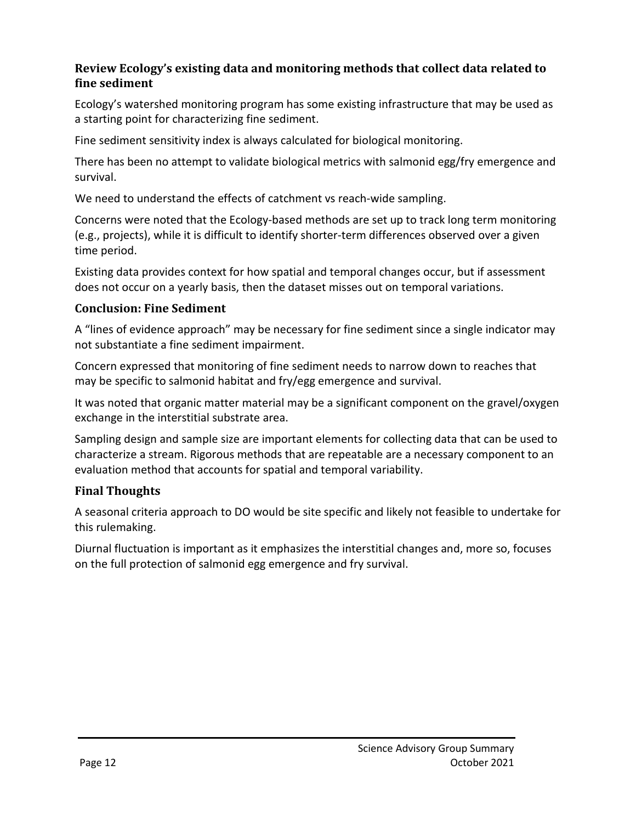### **Review Ecology's existing data and monitoring methods that collect data related to fine sediment**

Ecology's watershed monitoring program has some existing infrastructure that may be used as a starting point for characterizing fine sediment.

Fine sediment sensitivity index is always calculated for biological monitoring.

There has been no attempt to validate biological metrics with salmonid egg/fry emergence and survival.

We need to understand the effects of catchment vs reach-wide sampling.

Concerns were noted that the Ecology-based methods are set up to track long term monitoring (e.g., projects), while it is difficult to identify shorter-term differences observed over a given time period.

Existing data provides context for how spatial and temporal changes occur, but if assessment does not occur on a yearly basis, then the dataset misses out on temporal variations.

### **Conclusion: Fine Sediment**

A "lines of evidence approach" may be necessary for fine sediment since a single indicator may not substantiate a fine sediment impairment.

Concern expressed that monitoring of fine sediment needs to narrow down to reaches that may be specific to salmonid habitat and fry/egg emergence and survival.

It was noted that organic matter material may be a significant component on the gravel/oxygen exchange in the interstitial substrate area.

Sampling design and sample size are important elements for collecting data that can be used to characterize a stream. Rigorous methods that are repeatable are a necessary component to an evaluation method that accounts for spatial and temporal variability.

### **Final Thoughts**

A seasonal criteria approach to DO would be site specific and likely not feasible to undertake for this rulemaking.

Diurnal fluctuation is important as it emphasizes the interstitial changes and, more so, focuses on the full protection of salmonid egg emergence and fry survival.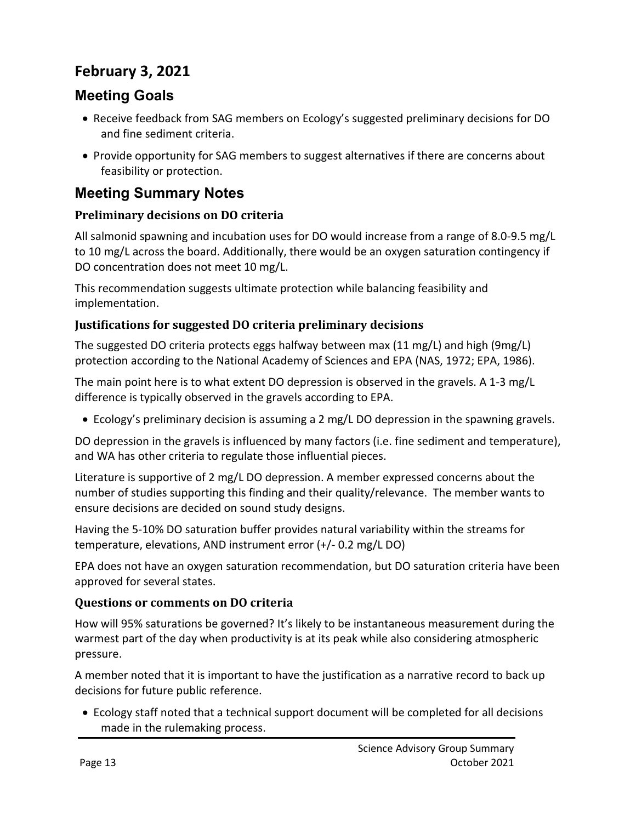# **February 3, 2021**

### **Meeting Goals**

- Receive feedback from SAG members on Ecology's suggested preliminary decisions for DO and fine sediment criteria.
- Provide opportunity for SAG members to suggest alternatives if there are concerns about feasibility or protection.

## **Meeting Summary Notes**

### **Preliminary decisions on DO criteria**

All salmonid spawning and incubation uses for DO would increase from a range of 8.0-9.5 mg/L to 10 mg/L across the board. Additionally, there would be an oxygen saturation contingency if DO concentration does not meet 10 mg/L.

This recommendation suggests ultimate protection while balancing feasibility and implementation.

### **Justifications for suggested DO criteria preliminary decisions**

The suggested DO criteria protects eggs halfway between max (11 mg/L) and high (9mg/L) protection according to the National Academy of Sciences and EPA (NAS, 1972; EPA, 1986).

The main point here is to what extent DO depression is observed in the gravels. A 1-3 mg/L difference is typically observed in the gravels according to EPA.

• Ecology's preliminary decision is assuming a 2 mg/L DO depression in the spawning gravels.

DO depression in the gravels is influenced by many factors (i.e. fine sediment and temperature), and WA has other criteria to regulate those influential pieces.

Literature is supportive of 2 mg/L DO depression. A member expressed concerns about the number of studies supporting this finding and their quality/relevance. The member wants to ensure decisions are decided on sound study designs.

Having the 5-10% DO saturation buffer provides natural variability within the streams for temperature, elevations, AND instrument error (+/- 0.2 mg/L DO)

EPA does not have an oxygen saturation recommendation, but DO saturation criteria have been approved for several states.

#### **Questions or comments on DO criteria**

How will 95% saturations be governed? It's likely to be instantaneous measurement during the warmest part of the day when productivity is at its peak while also considering atmospheric pressure.

A member noted that it is important to have the justification as a narrative record to back up decisions for future public reference.

• Ecology staff noted that a technical support document will be completed for all decisions made in the rulemaking process.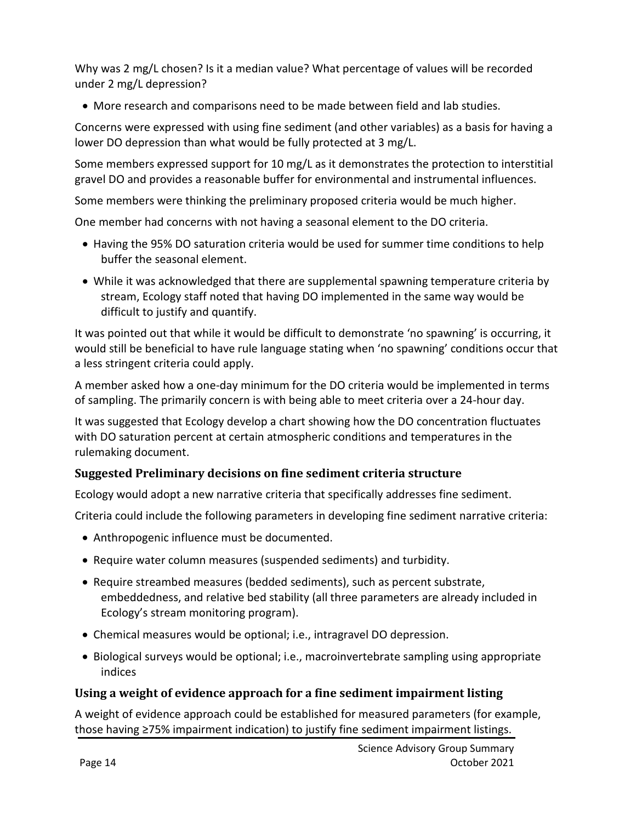Why was 2 mg/L chosen? Is it a median value? What percentage of values will be recorded under 2 mg/L depression?

• More research and comparisons need to be made between field and lab studies.

Concerns were expressed with using fine sediment (and other variables) as a basis for having a lower DO depression than what would be fully protected at 3 mg/L.

Some members expressed support for 10 mg/L as it demonstrates the protection to interstitial gravel DO and provides a reasonable buffer for environmental and instrumental influences.

Some members were thinking the preliminary proposed criteria would be much higher.

One member had concerns with not having a seasonal element to the DO criteria.

- Having the 95% DO saturation criteria would be used for summer time conditions to help buffer the seasonal element.
- While it was acknowledged that there are supplemental spawning temperature criteria by stream, Ecology staff noted that having DO implemented in the same way would be difficult to justify and quantify.

It was pointed out that while it would be difficult to demonstrate 'no spawning' is occurring, it would still be beneficial to have rule language stating when 'no spawning' conditions occur that a less stringent criteria could apply.

A member asked how a one-day minimum for the DO criteria would be implemented in terms of sampling. The primarily concern is with being able to meet criteria over a 24-hour day.

It was suggested that Ecology develop a chart showing how the DO concentration fluctuates with DO saturation percent at certain atmospheric conditions and temperatures in the rulemaking document.

### **Suggested Preliminary decisions on fine sediment criteria structure**

Ecology would adopt a new narrative criteria that specifically addresses fine sediment.

Criteria could include the following parameters in developing fine sediment narrative criteria:

- Anthropogenic influence must be documented.
- Require water column measures (suspended sediments) and turbidity.
- Require streambed measures (bedded sediments), such as percent substrate, embeddedness, and relative bed stability (all three parameters are already included in Ecology's stream monitoring program).
- Chemical measures would be optional; i.e., intragravel DO depression.
- Biological surveys would be optional; i.e., macroinvertebrate sampling using appropriate indices

### **Using a weight of evidence approach for a fine sediment impairment listing**

A weight of evidence approach could be established for measured parameters (for example, those having ≥75% impairment indication) to justify fine sediment impairment listings.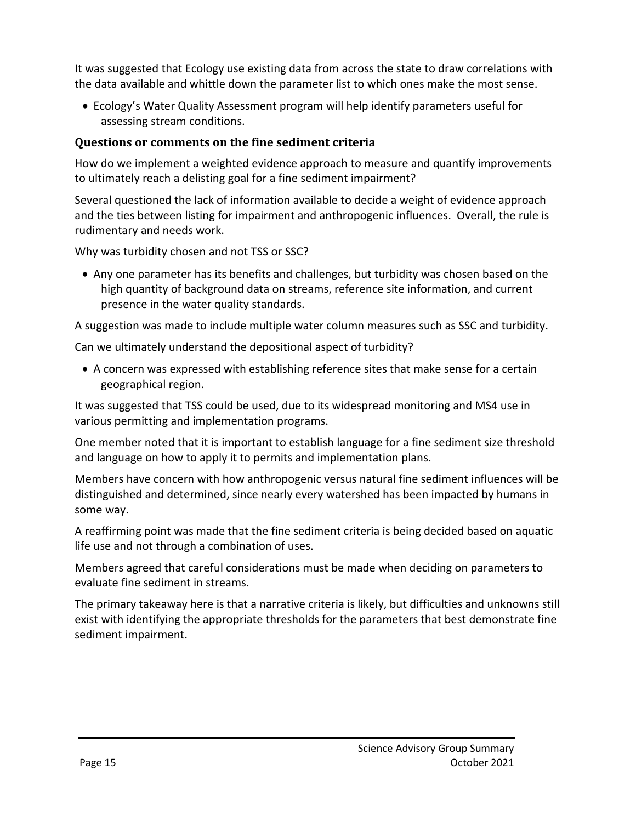It was suggested that Ecology use existing data from across the state to draw correlations with the data available and whittle down the parameter list to which ones make the most sense.

• Ecology's Water Quality Assessment program will help identify parameters useful for assessing stream conditions.

### **Questions or comments on the fine sediment criteria**

How do we implement a weighted evidence approach to measure and quantify improvements to ultimately reach a delisting goal for a fine sediment impairment?

Several questioned the lack of information available to decide a weight of evidence approach and the ties between listing for impairment and anthropogenic influences. Overall, the rule is rudimentary and needs work.

Why was turbidity chosen and not TSS or SSC?

• Any one parameter has its benefits and challenges, but turbidity was chosen based on the high quantity of background data on streams, reference site information, and current presence in the water quality standards.

A suggestion was made to include multiple water column measures such as SSC and turbidity.

Can we ultimately understand the depositional aspect of turbidity?

• A concern was expressed with establishing reference sites that make sense for a certain geographical region.

It was suggested that TSS could be used, due to its widespread monitoring and MS4 use in various permitting and implementation programs.

One member noted that it is important to establish language for a fine sediment size threshold and language on how to apply it to permits and implementation plans.

Members have concern with how anthropogenic versus natural fine sediment influences will be distinguished and determined, since nearly every watershed has been impacted by humans in some way.

A reaffirming point was made that the fine sediment criteria is being decided based on aquatic life use and not through a combination of uses.

Members agreed that careful considerations must be made when deciding on parameters to evaluate fine sediment in streams.

The primary takeaway here is that a narrative criteria is likely, but difficulties and unknowns still exist with identifying the appropriate thresholds for the parameters that best demonstrate fine sediment impairment.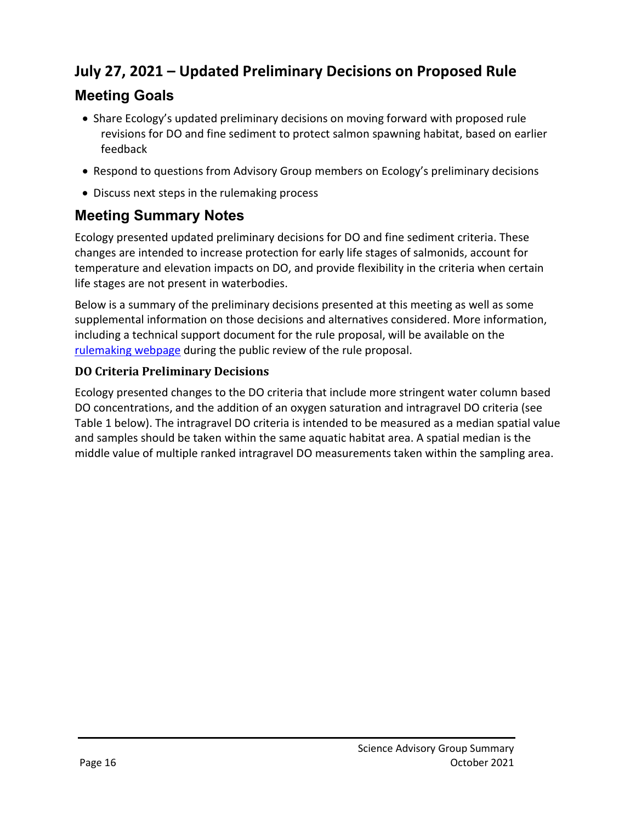# **July 27, 2021 – Updated Preliminary Decisions on Proposed Rule**

# **Meeting Goals**

- Share Ecology's updated preliminary decisions on moving forward with proposed rule revisions for DO and fine sediment to protect salmon spawning habitat, based on earlier feedback
- Respond to questions from Advisory Group members on Ecology's preliminary decisions
- Discuss next steps in the rulemaking process

# **Meeting Summary Notes**

Ecology presented updated preliminary decisions for DO and fine sediment criteria. These changes are intended to increase protection for early life stages of salmonids, account for temperature and elevation impacts on DO, and provide flexibility in the criteria when certain life stages are not present in waterbodies.

Below is a summary of the preliminary decisions presented at this meeting as well as some supplemental information on those decisions and alternatives considered. More information, including a technical support document for the rule proposal, will be available on the [rulemaking webpage](https://ecology.wa.gov/Regulations-Permits/Laws-rules-rulemaking/Rulemaking/WAC173-201A-Salmon-spawning-habitat) during the public review of the rule proposal.

### **DO Criteria Preliminary Decisions**

Ecology presented changes to the DO criteria that include more stringent water column based DO concentrations, and the addition of an oxygen saturation and intragravel DO criteria (see Table 1 below). The intragravel DO criteria is intended to be measured as a median spatial value and samples should be taken within the same aquatic habitat area. A spatial median is the middle value of multiple ranked intragravel DO measurements taken within the sampling area.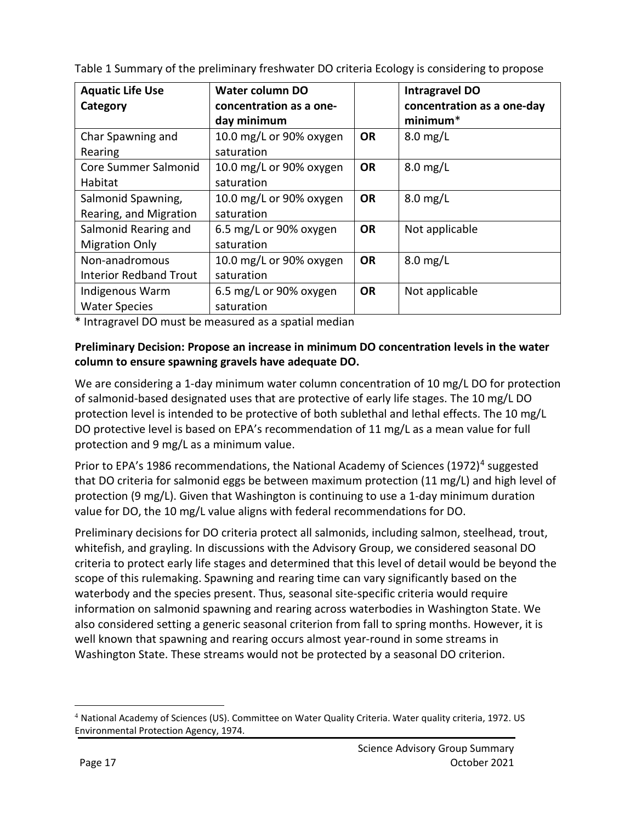| <b>Aquatic Life Use</b><br>Category | Water column DO<br>concentration as a one-<br>day minimum |           | <b>Intragravel DO</b><br>concentration as a one-day<br>minimum <sup>*</sup> |
|-------------------------------------|-----------------------------------------------------------|-----------|-----------------------------------------------------------------------------|
| Char Spawning and                   | 10.0 mg/L or 90% oxygen                                   | <b>OR</b> | $8.0$ mg/L                                                                  |
| Rearing                             | saturation                                                |           |                                                                             |
| Core Summer Salmonid                | 10.0 mg/L or 90% oxygen                                   | <b>OR</b> | $8.0$ mg/L                                                                  |
| Habitat                             | saturation                                                |           |                                                                             |
| Salmonid Spawning,                  | 10.0 mg/L or 90% oxygen                                   | <b>OR</b> | $8.0$ mg/L                                                                  |
| Rearing, and Migration              | saturation                                                |           |                                                                             |
| Salmonid Rearing and                | 6.5 mg/L or 90% oxygen                                    | <b>OR</b> | Not applicable                                                              |
| <b>Migration Only</b>               | saturation                                                |           |                                                                             |
| Non-anadromous                      | 10.0 mg/L or 90% oxygen                                   | <b>OR</b> | $8.0$ mg/L                                                                  |
| <b>Interior Redband Trout</b>       | saturation                                                |           |                                                                             |
| Indigenous Warm                     | 6.5 mg/L or 90% oxygen                                    | <b>OR</b> | Not applicable                                                              |
| <b>Water Species</b>                | saturation                                                |           |                                                                             |

|  |  | Table 1 Summary of the preliminary freshwater DO criteria Ecology is considering to propose |
|--|--|---------------------------------------------------------------------------------------------|
|  |  |                                                                                             |

\* Intragravel DO must be measured as a spatial median

#### **Preliminary Decision: Propose an increase in minimum DO concentration levels in the water column to ensure spawning gravels have adequate DO.**

We are considering a 1-day minimum water column concentration of 10 mg/L DO for protection of salmonid-based designated uses that are protective of early life stages. The 10 mg/L DO protection level is intended to be protective of both sublethal and lethal effects. The 10 mg/L DO protective level is based on EPA's recommendation of 11 mg/L as a mean value for full protection and 9 mg/L as a minimum value.

Prior to EPA's 1986 recommendations, the National Academy of Sciences (1972)<sup>[4](#page-16-0)</sup> suggested that DO criteria for salmonid eggs be between maximum protection (11 mg/L) and high level of protection (9 mg/L). Given that Washington is continuing to use a 1-day minimum duration value for DO, the 10 mg/L value aligns with federal recommendations for DO.

Preliminary decisions for DO criteria protect all salmonids, including salmon, steelhead, trout, whitefish, and grayling. In discussions with the Advisory Group, we considered seasonal DO criteria to protect early life stages and determined that this level of detail would be beyond the scope of this rulemaking. Spawning and rearing time can vary significantly based on the waterbody and the species present. Thus, seasonal site-specific criteria would require information on salmonid spawning and rearing across waterbodies in Washington State. We also considered setting a generic seasonal criterion from fall to spring months. However, it is well known that spawning and rearing occurs almost year-round in some streams in Washington State. These streams would not be protected by a seasonal DO criterion.

 $\overline{a}$ 

<span id="page-16-0"></span><sup>4</sup> National Academy of Sciences (US). Committee on Water Quality Criteria. Water quality criteria, 1972. US Environmental Protection Agency, 1974.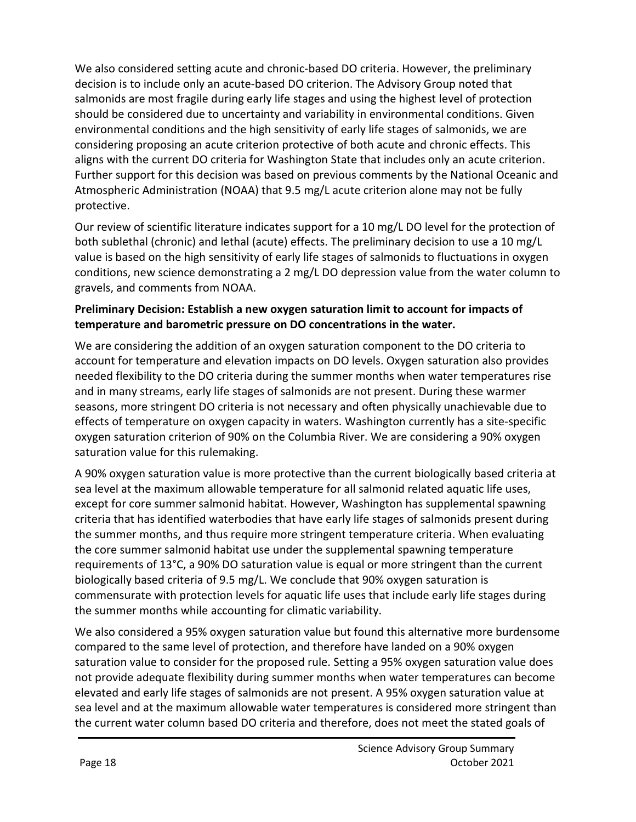We also considered setting acute and chronic-based DO criteria. However, the preliminary decision is to include only an acute-based DO criterion. The Advisory Group noted that salmonids are most fragile during early life stages and using the highest level of protection should be considered due to uncertainty and variability in environmental conditions. Given environmental conditions and the high sensitivity of early life stages of salmonids, we are considering proposing an acute criterion protective of both acute and chronic effects. This aligns with the current DO criteria for Washington State that includes only an acute criterion. Further support for this decision was based on previous comments by the National Oceanic and Atmospheric Administration (NOAA) that 9.5 mg/L acute criterion alone may not be fully protective.

Our review of scientific literature indicates support for a 10 mg/L DO level for the protection of both sublethal (chronic) and lethal (acute) effects. The preliminary decision to use a 10 mg/L value is based on the high sensitivity of early life stages of salmonids to fluctuations in oxygen conditions, new science demonstrating a 2 mg/L DO depression value from the water column to gravels, and comments from NOAA.

### **Preliminary Decision: Establish a new oxygen saturation limit to account for impacts of temperature and barometric pressure on DO concentrations in the water.**

We are considering the addition of an oxygen saturation component to the DO criteria to account for temperature and elevation impacts on DO levels. Oxygen saturation also provides needed flexibility to the DO criteria during the summer months when water temperatures rise and in many streams, early life stages of salmonids are not present. During these warmer seasons, more stringent DO criteria is not necessary and often physically unachievable due to effects of temperature on oxygen capacity in waters. Washington currently has a site-specific oxygen saturation criterion of 90% on the Columbia River. We are considering a 90% oxygen saturation value for this rulemaking.

A 90% oxygen saturation value is more protective than the current biologically based criteria at sea level at the maximum allowable temperature for all salmonid related aquatic life uses, except for core summer salmonid habitat. However, Washington has supplemental spawning criteria that has identified waterbodies that have early life stages of salmonids present during the summer months, and thus require more stringent temperature criteria. When evaluating the core summer salmonid habitat use under the supplemental spawning temperature requirements of 13°C, a 90% DO saturation value is equal or more stringent than the current biologically based criteria of 9.5 mg/L. We conclude that 90% oxygen saturation is commensurate with protection levels for aquatic life uses that include early life stages during the summer months while accounting for climatic variability.

We also considered a 95% oxygen saturation value but found this alternative more burdensome compared to the same level of protection, and therefore have landed on a 90% oxygen saturation value to consider for the proposed rule. Setting a 95% oxygen saturation value does not provide adequate flexibility during summer months when water temperatures can become elevated and early life stages of salmonids are not present. A 95% oxygen saturation value at sea level and at the maximum allowable water temperatures is considered more stringent than the current water column based DO criteria and therefore, does not meet the stated goals of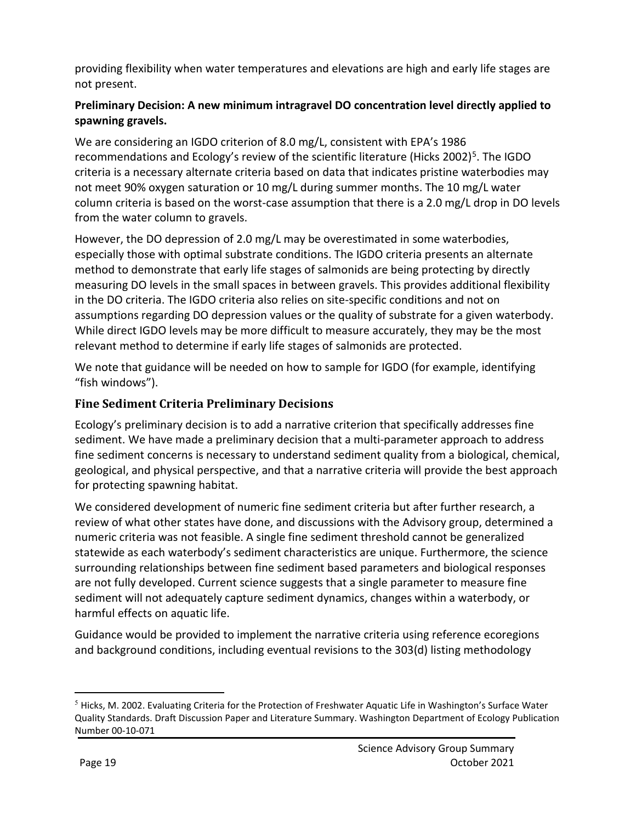providing flexibility when water temperatures and elevations are high and early life stages are not present.

### **Preliminary Decision: A new minimum intragravel DO concentration level directly applied to spawning gravels.**

We are considering an IGDO criterion of 8.0 mg/L, consistent with EPA's 1986 recommendations and Ecology's review of the scientific literature (Hicks 2002)<sup>5</sup>. The IGDO criteria is a necessary alternate criteria based on data that indicates pristine waterbodies may not meet 90% oxygen saturation or 10 mg/L during summer months. The 10 mg/L water column criteria is based on the worst-case assumption that there is a 2.0 mg/L drop in DO levels from the water column to gravels.

However, the DO depression of 2.0 mg/L may be overestimated in some waterbodies, especially those with optimal substrate conditions. The IGDO criteria presents an alternate method to demonstrate that early life stages of salmonids are being protecting by directly measuring DO levels in the small spaces in between gravels. This provides additional flexibility in the DO criteria. The IGDO criteria also relies on site-specific conditions and not on assumptions regarding DO depression values or the quality of substrate for a given waterbody. While direct IGDO levels may be more difficult to measure accurately, they may be the most relevant method to determine if early life stages of salmonids are protected.

We note that guidance will be needed on how to sample for IGDO (for example, identifying "fish windows").

### **Fine Sediment Criteria Preliminary Decisions**

Ecology's preliminary decision is to add a narrative criterion that specifically addresses fine sediment. We have made a preliminary decision that a multi-parameter approach to address fine sediment concerns is necessary to understand sediment quality from a biological, chemical, geological, and physical perspective, and that a narrative criteria will provide the best approach for protecting spawning habitat.

We considered development of numeric fine sediment criteria but after further research, a review of what other states have done, and discussions with the Advisory group, determined a numeric criteria was not feasible. A single fine sediment threshold cannot be generalized statewide as each waterbody's sediment characteristics are unique. Furthermore, the science surrounding relationships between fine sediment based parameters and biological responses are not fully developed. Current science suggests that a single parameter to measure fine sediment will not adequately capture sediment dynamics, changes within a waterbody, or harmful effects on aquatic life.

Guidance would be provided to implement the narrative criteria using reference ecoregions and background conditions, including eventual revisions to the 303(d) listing methodology

 $\overline{a}$ 

<span id="page-18-0"></span><sup>5</sup> Hicks, M. 2002. Evaluating Criteria for the Protection of Freshwater Aquatic Life in Washington's Surface Water Quality Standards. Draft Discussion Paper and Literature Summary. Washington Department of Ecology Publication Number 00-10-071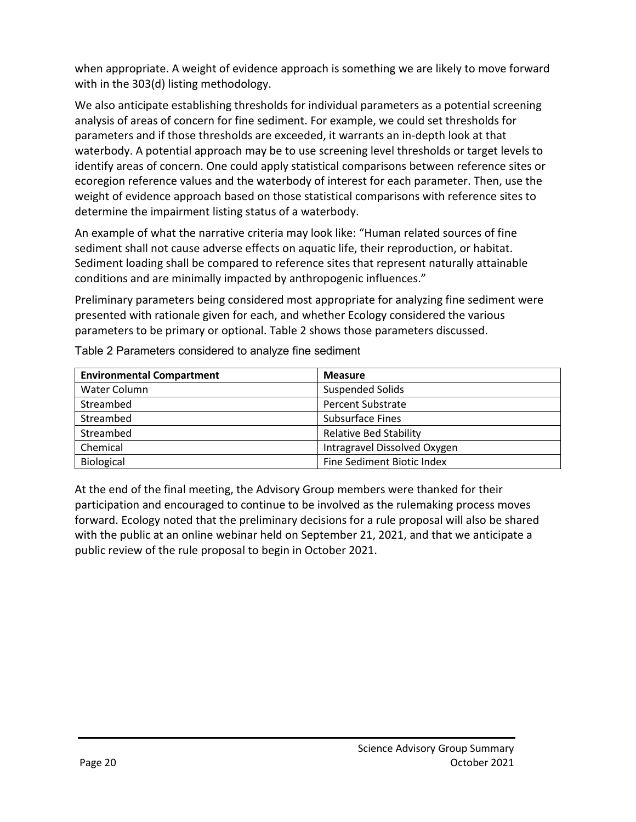when appropriate. A weight of evidence approach is something we are likely to move forward with in the 303(d) listing methodology.

We also anticipate establishing thresholds for individual parameters as a potential screening analysis of areas of concern for fine sediment. For example, we could set thresholds for parameters and if those thresholds are exceeded, it warrants an in-depth look at that waterbody. A potential approach may be to use screening level thresholds or target levels to identify areas of concern. One could apply statistical comparisons between reference sites or ecoregion reference values and the waterbody of interest for each parameter. Then, use the weight of evidence approach based on those statistical comparisons with reference sites to determine the impairment listing status of a waterbody.

An example of what the narrative criteria may look like: "Human related sources of fine sediment shall not cause adverse effects on aquatic life, their reproduction, or habitat. Sediment loading shall be compared to reference sites that represent naturally attainable conditions and are minimally impacted by anthropogenic influences."

Preliminary parameters being considered most appropriate for analyzing fine sediment were presented with rationale given for each, and whether Ecology considered the various parameters to be primary or optional. Table 2 shows those parameters discussed.

| <b>Environmental Compartment</b> | <b>Measure</b>                |  |  |
|----------------------------------|-------------------------------|--|--|
| Water Column                     | <b>Suspended Solids</b>       |  |  |
| Streambed                        | <b>Percent Substrate</b>      |  |  |
| Streambed                        | <b>Subsurface Fines</b>       |  |  |
| Streambed                        | <b>Relative Bed Stability</b> |  |  |
| Chemical                         | Intragravel Dissolved Oxygen  |  |  |
| Biological                       | Fine Sediment Biotic Index    |  |  |

Table 2 Parameters considered to analyze fine sediment

At the end of the final meeting, the Advisory Group members were thanked for their participation and encouraged to continue to be involved as the rulemaking process moves forward. Ecology noted that the preliminary decisions for a rule proposal will also be shared with the public at an online webinar held on September 21, 2021, and that we anticipate a public review of the rule proposal to begin in October 2021.